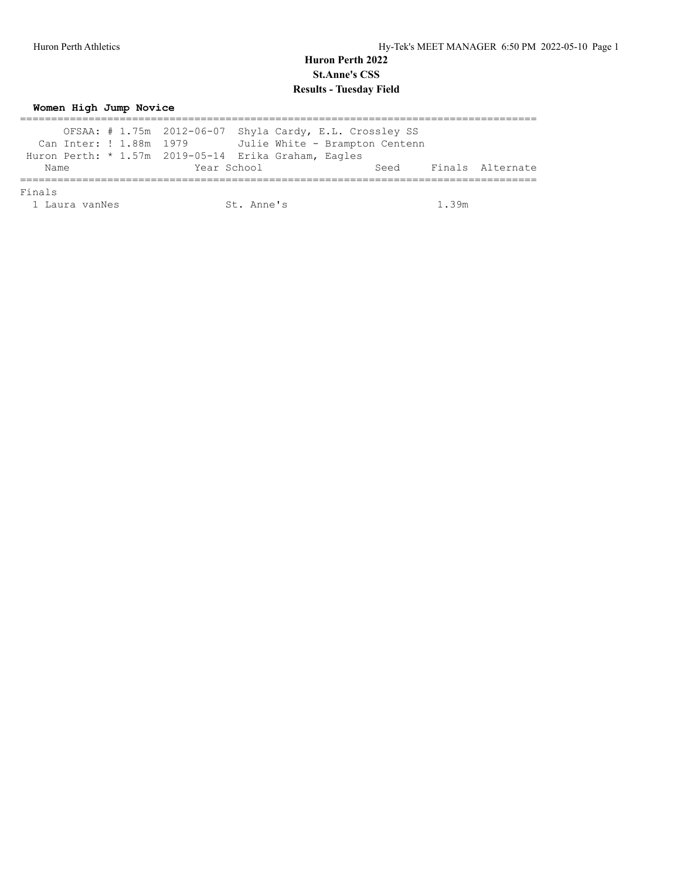**Women High Jump Novice**

|      | OFSAA: $\#$ 1.75m 2012-06-07 Shyla Cardy, E.L. Crossley SS |      |                  |
|------|------------------------------------------------------------|------|------------------|
|      | Can Inter: ! 1.88m 1979 Julie White - Brampton Centenn     |      |                  |
|      | Huron Perth: * 1.57m 2019-05-14 Erika Graham, Eagles       |      |                  |
| Name | Year School                                                | Seed | Finals Alternate |
|      |                                                            |      |                  |

Finals

1 Laura vanNes St. Anne's 1.39m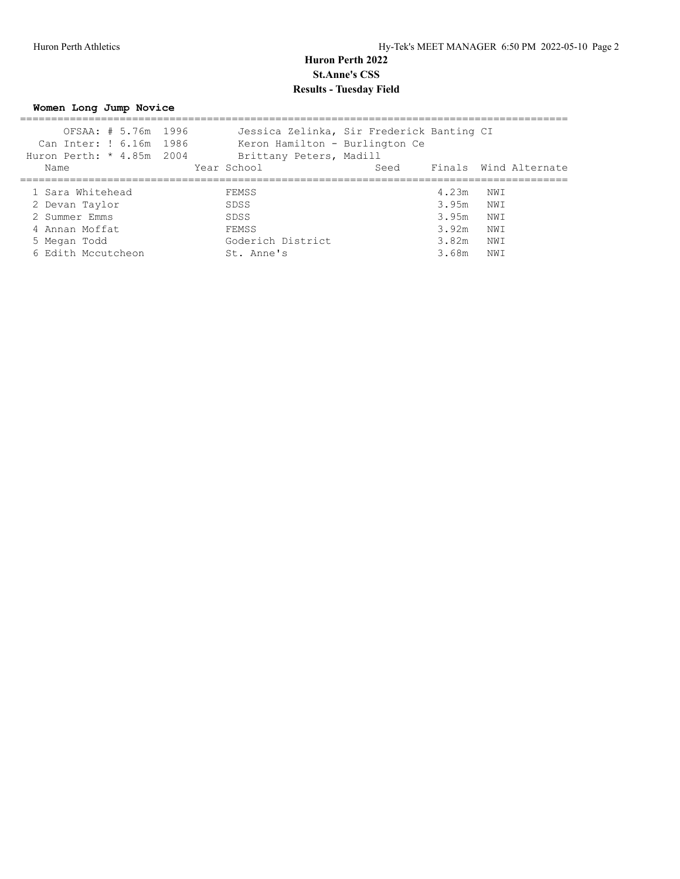**Women Long Jump Novice**

| OFSAA: # 5.76m 1996       |  |  | Jessica Zelinka, Sir Frederick Banting CI |           |      |                            |
|---------------------------|--|--|-------------------------------------------|-----------|------|----------------------------|
| Can Inter: ! 6.16m 1986   |  |  | Keron Hamilton - Burlington Ce            |           |      |                            |
| Huron Perth: * 4.85m 2004 |  |  | Brittany Peters, Madill                   |           |      |                            |
| Name                      |  |  | Year School                               |           |      | Seed Finals Wind Alternate |
|                           |  |  |                                           |           |      |                            |
| 1 Sara Whitehead          |  |  | FEMSS                                     | 4.23m     | NWI  |                            |
| 2 Devan Taylor            |  |  | SDSS                                      | 3.95m NWI |      |                            |
| 2 Summer Emms             |  |  | SDSS                                      | 3.95m     | NW I |                            |
| 4 Annan Moffat            |  |  | FEMSS                                     | 3.92m     | NWI  |                            |
| 5 Megan Todd              |  |  | Goderich District                         | 3.82m     | NWI  |                            |
| 6 Edith Mccutcheon        |  |  | St. Anne's                                | 3.68m     | NWI  |                            |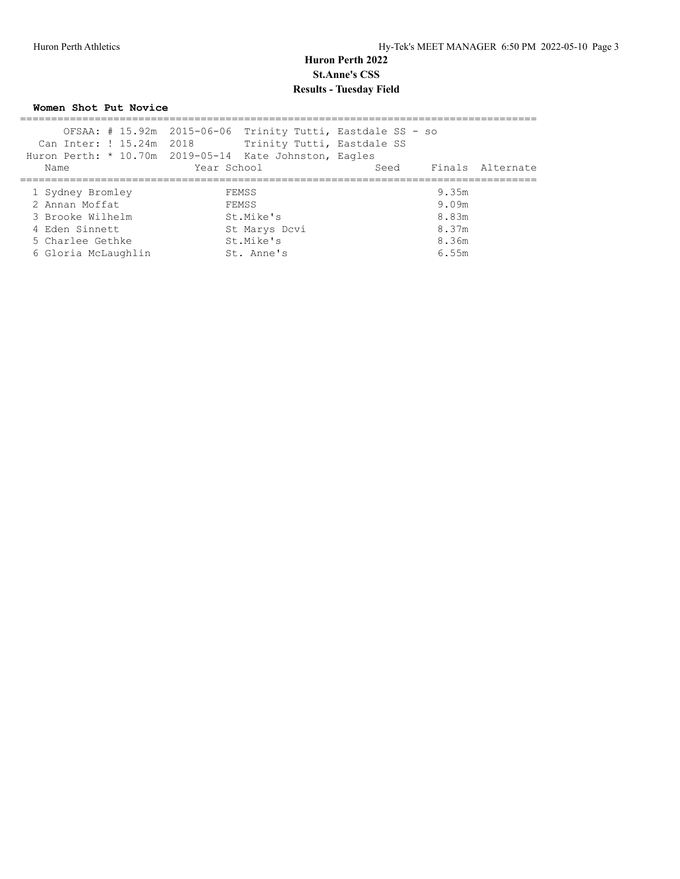**Women Shot Put Novice**

|                          | OFSAA: # 15.92m 2015-06-06 Trinity Tutti, Eastdale SS - so |                          |
|--------------------------|------------------------------------------------------------|--------------------------|
| Can Inter: ! 15.24m 2018 | Trinity Tutti, Eastdale SS                                 |                          |
|                          | Huron Perth: * 10.70m 2019-05-14 Kate Johnston, Eagles     |                          |
| Name                     | Year School                                                | Seed<br>Finals Alternate |
|                          |                                                            |                          |
| 1 Sydney Bromley         | FEMSS                                                      | 9.35m                    |
| 2 Annan Moffat           | FEMSS                                                      | 9.09m                    |
| 3 Brooke Wilhelm         | St.Mike's                                                  | 8.83m                    |
| 4 Eden Sinnett           | St Marys Dcvi                                              | 8.37m                    |
| 5 Charlee Gethke         | St.Mike's                                                  | 8.36m                    |
| 6 Gloria McLaughlin      | St. Anne's                                                 | 6.55m                    |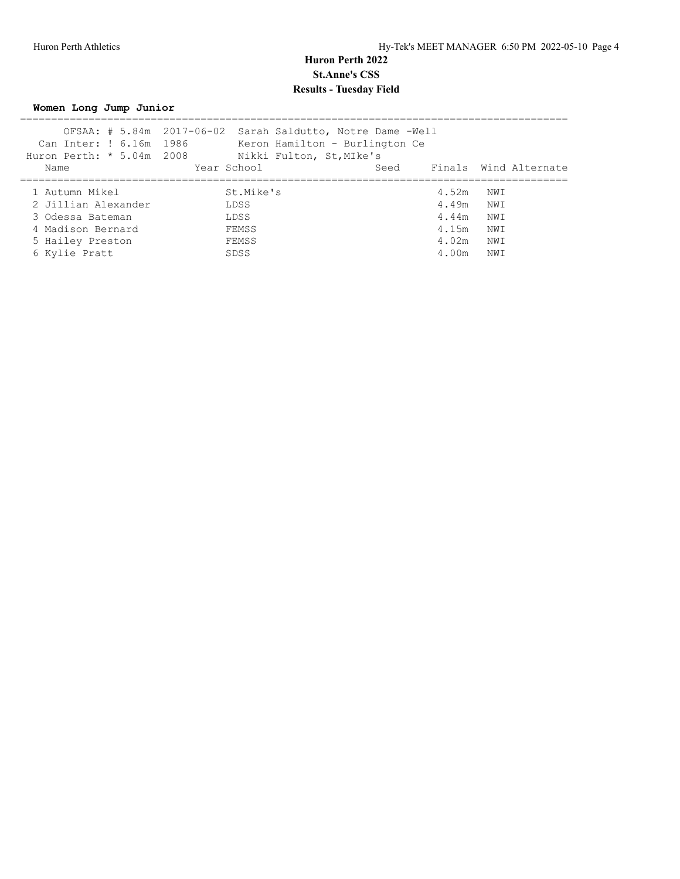**Women Long Jump Junior**

|                     | OFSAA: # 5.84m 2017-06-02 Sarah Saldutto, Notre Dame -Well |       |                       |
|---------------------|------------------------------------------------------------|-------|-----------------------|
|                     | Can Inter: ! 6.16m 1986 Keron Hamilton - Burlington Ce     |       |                       |
|                     | Huron Perth: * 5.04m 2008 Nikki Fulton, St, MIke's         |       |                       |
| Name                | Year School                                                | Seed  | Finals Wind Alternate |
|                     |                                                            |       |                       |
| 1 Autumn Mikel      | St.Mike's                                                  | 4.52m | NWI                   |
| 2 Jillian Alexander | LDSS                                                       |       | 4.49m NWI             |
| 3 Odessa Bateman    | LDSS                                                       | 4.44m | NWI                   |
| 4 Madison Bernard   | FEMSS                                                      | 4.15m | NWI                   |
| 5 Hailey Preston    | FEMSS                                                      | 4.02m | NWI                   |
| 6 Kylie Pratt       | SDSS                                                       | 4.00m | NWI                   |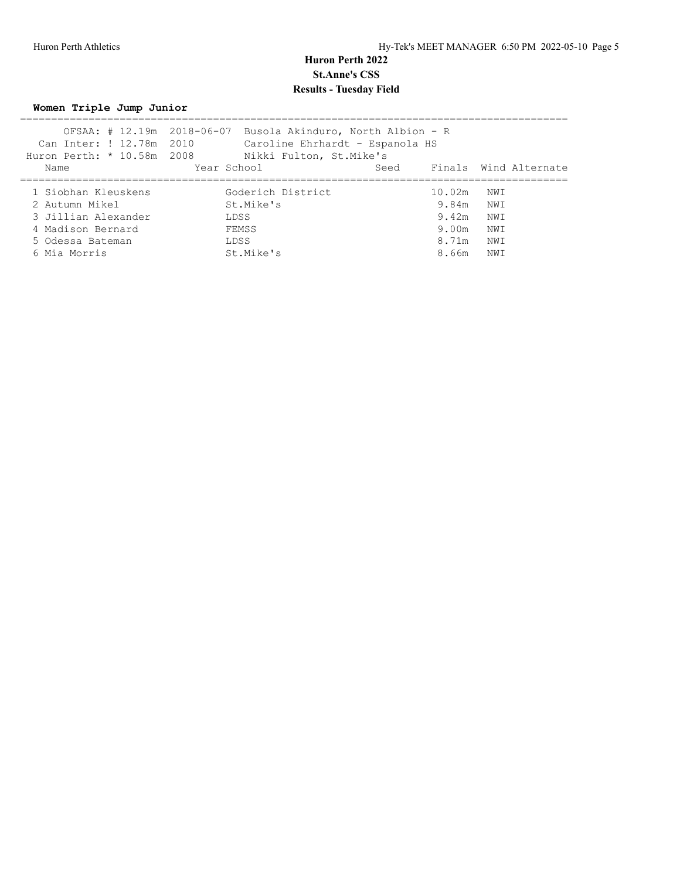**Women Triple Jump Junior**

| Can Inter: ! 12.78m 2010<br>Huron Perth: * 10.58m 2008       | OFSAA: # 12.19m 2018-06-07 Busola Akinduro, North Albion - R<br>Nikki Fulton, St.Mike's | Caroline Ehrhardt - Espanola HS |                       |
|--------------------------------------------------------------|-----------------------------------------------------------------------------------------|---------------------------------|-----------------------|
| Name                                                         | Year School                                                                             | Seed                            | Finals Wind Alternate |
| 1 Siobhan Kleuskens<br>2 Autumn Mikel<br>3 Jillian Alexander | Goderich District<br>St.Mike's<br>LDSS                                                  | 10.02m<br>9.84m NWI<br>9.42m    | NWI<br>NWI            |
| 4 Madison Bernard<br>5 Odessa Bateman<br>6 Mia Morris        | FEMSS<br>LDSS<br>St.Mike's                                                              | 9.00m<br>8.71m<br>8.66m         | NWI<br>NWI<br>NWI     |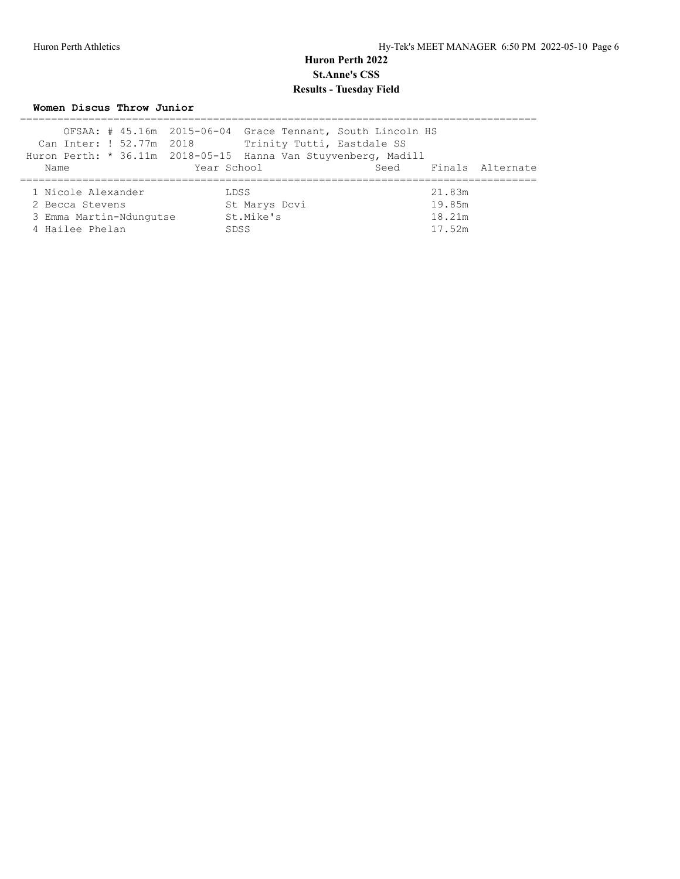**Women Discus Throw Junior**

|                    |                         | OFSAA: # 45.16m 2015-06-04 Grace Tennant, South Lincoln HS     |               |                            |  |        |                       |
|--------------------|-------------------------|----------------------------------------------------------------|---------------|----------------------------|--|--------|-----------------------|
|                    |                         | Can Inter: ! 52.77m 2018                                       |               | Trinity Tutti, Eastdale SS |  |        |                       |
|                    |                         | Huron Perth: * 36.11m 2018-05-15 Hanna Van Stuyvenberg, Madill |               |                            |  |        |                       |
| Name               |                         |                                                                | Year School   |                            |  |        | Seed Finals Alternate |
|                    |                         |                                                                |               |                            |  |        |                       |
| 1 Nicole Alexander |                         |                                                                | LDSS          |                            |  | 21.83m |                       |
| 2 Becca Stevens    |                         |                                                                | St Marys Dcvi |                            |  | 19.85m |                       |
|                    | 3 Emma Martin-Ndunqutse |                                                                | St.Mike's     |                            |  | 18.21m |                       |
| 4 Hailee Phelan    |                         |                                                                | <b>SDSS</b>   |                            |  | 17.52m |                       |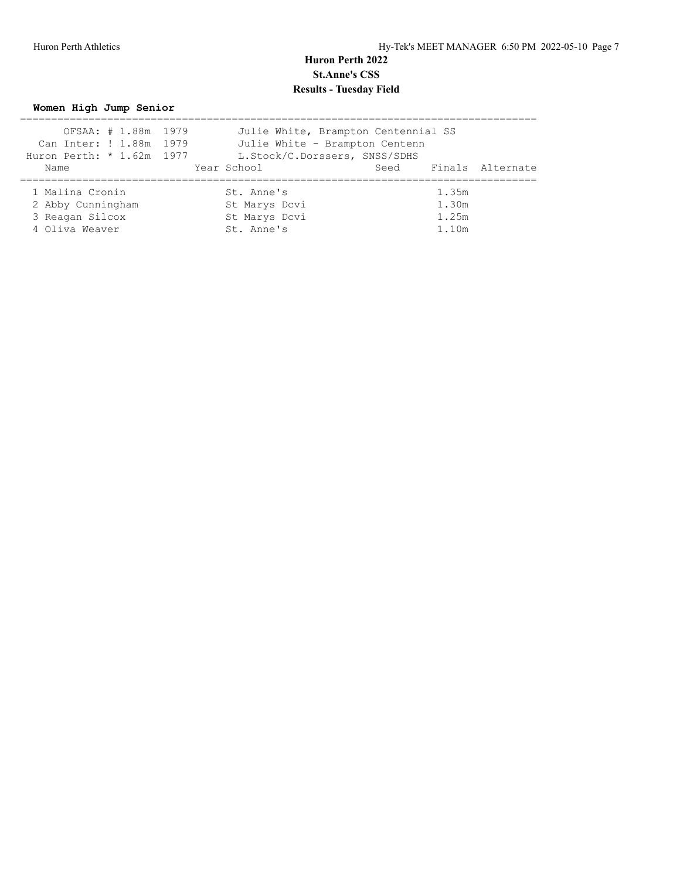#### **Women High Jump Senior**

| OFSAA: # 1.88m 1979       | Julie White, Brampton Centennial SS |       |                       |
|---------------------------|-------------------------------------|-------|-----------------------|
| Can Inter: ! 1.88m 1979   | Julie White - Brampton Centenn      |       |                       |
| Huron Perth: * 1.62m 1977 | L.Stock/C.Dorssers, SNSS/SDHS       |       |                       |
| Name                      | Year School                         |       | Seed Finals Alternate |
|                           |                                     |       |                       |
| 1 Malina Cronin           | St. Anne's                          | 1.35m |                       |
| 2 Abby Cunningham         | St Marys Dcvi                       | 1.30m |                       |
| 3 Reagan Silcox           | St Marys Dcvi                       | 1.25m |                       |
| 4 Oliva Weaver            | St. Anne's                          | 1.10m |                       |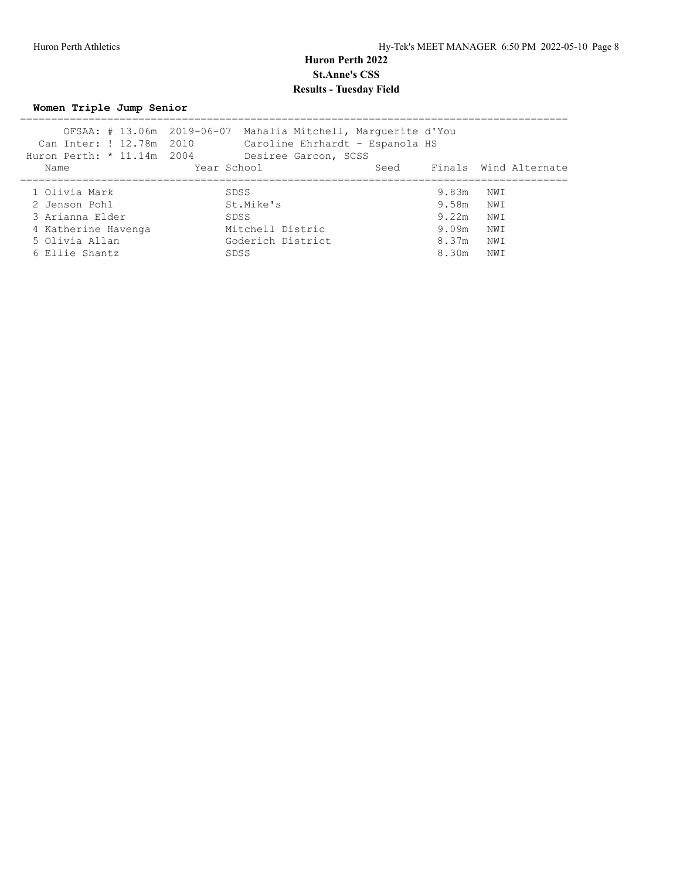**Women Triple Jump Senior**

|                            | OFSAA: # 13.06m 2019-06-07 Mahalia Mitchell, Marquerite d'You |      |           |                       |
|----------------------------|---------------------------------------------------------------|------|-----------|-----------------------|
| Can Inter: ! 12.78m 2010   | Caroline Ehrhardt - Espanola HS                               |      |           |                       |
| Huron Perth: * 11.14m 2004 | Desiree Garcon, SCSS                                          |      |           |                       |
| Name                       | Year School                                                   | Seed |           | Finals Wind Alternate |
|                            |                                                               |      |           |                       |
| 1 Olivia Mark              | SDSS                                                          |      | 9.83m     | NWI                   |
| 2 Jenson Pohl              | St.Mike's                                                     |      | 9.58m NWI |                       |
| 3 Arianna Elder            | SDSS                                                          |      | 9.22m     | NW I                  |
| 4 Katherine Havenga        | Mitchell Distric                                              |      | 9.09m     | NWI                   |
| 5 Olivia Allan             | Goderich District                                             |      | 8.37m     | NWI                   |
| 6 Ellie Shantz             | SDSS                                                          |      | 8.30m     | NWI                   |
|                            |                                                               |      |           |                       |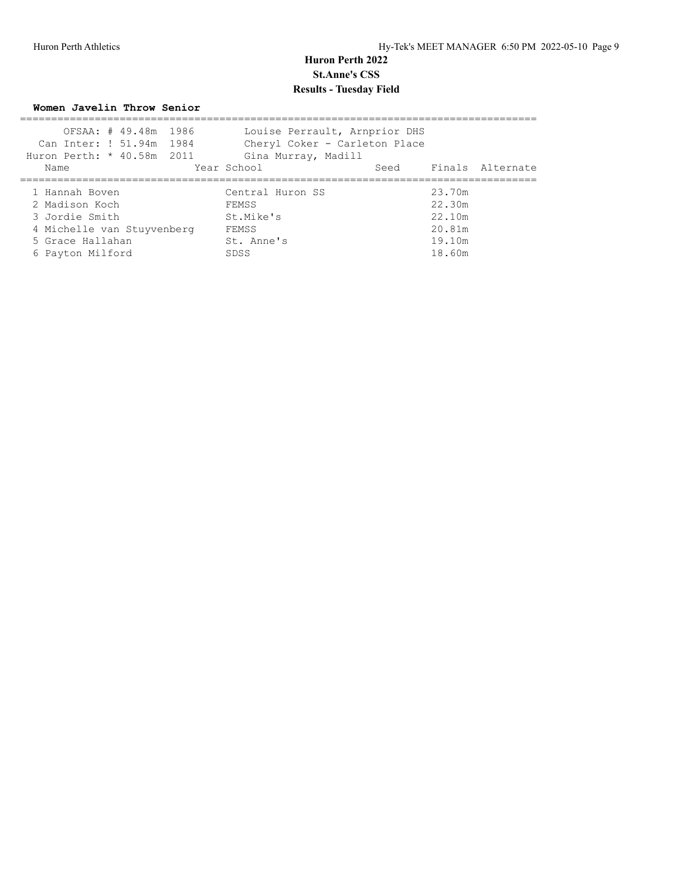**Women Javelin Throw Senior**

| OFSAA: # 49.48m 1986       | Louise Perrault, Arnprior DHS |        |                       |
|----------------------------|-------------------------------|--------|-----------------------|
| Can Inter: ! 51.94m 1984   | Cheryl Coker - Carleton Place |        |                       |
| Huron Perth: * 40.58m 2011 | Gina Murray, Madill           |        |                       |
| Name                       | Year School                   |        | Seed Finals Alternate |
|                            |                               |        |                       |
| 1 Hannah Boven             | Central Huron SS              | 23.70m |                       |
| 2 Madison Koch             | FEMSS                         | 22.30m |                       |
| 3 Jordie Smith             | St.Mike's                     | 22.10m |                       |
| 4 Michelle van Stuyvenberg | FEMSS                         | 20.81m |                       |
| 5 Grace Hallahan           | St. Anne's                    | 19.10m |                       |
| 6 Payton Milford           | SDSS                          | 18.60m |                       |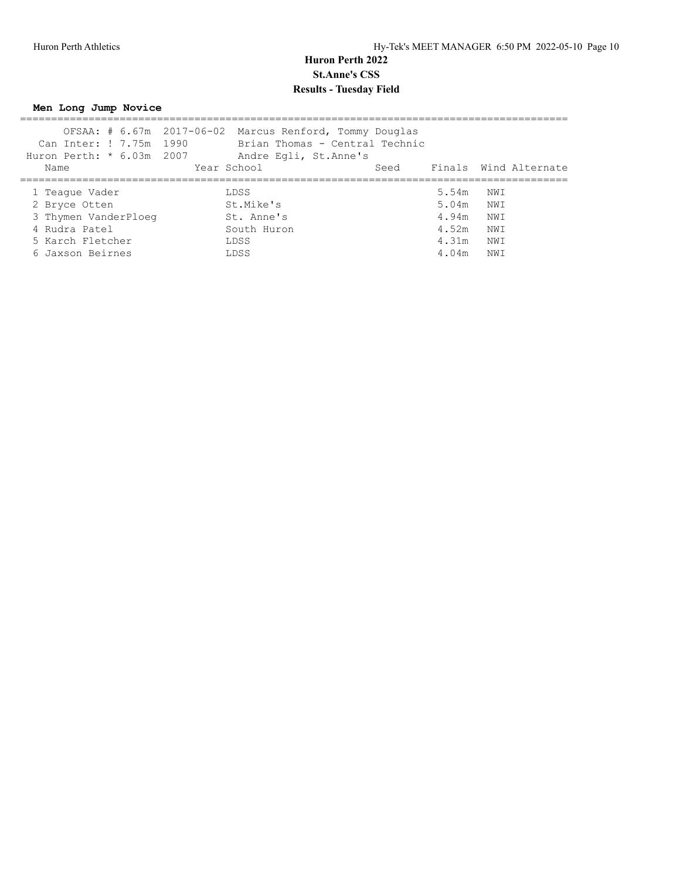**Men Long Jump Novice**

|                             | OFSAA: # 6.67m 2017-06-02 Marcus Renford, Tommy Douglas |                                |       |      |                       |
|-----------------------------|---------------------------------------------------------|--------------------------------|-------|------|-----------------------|
| Can Inter: ! 7.75m 1990     |                                                         | Brian Thomas - Central Technic |       |      |                       |
| Huron Perth: $*$ 6.03m 2007 | Andre Egli, St. Anne's                                  |                                |       |      |                       |
| Name                        | Year School                                             | Seed                           |       |      | Finals Wind Alternate |
|                             |                                                         |                                |       |      |                       |
| 1 Teaque Vader              | LDSS                                                    |                                | 5.54m | NW T |                       |
| 2 Bryce Otten               | St.Mike's                                               |                                | 5.04m | NWI  |                       |
| 3 Thymen VanderPloeg        | St. Anne's                                              |                                | 4.94m | NWI  |                       |
| 4 Rudra Patel               | South Huron                                             |                                | 4.52m | NWI  |                       |
| 5 Karch Fletcher            | LDSS.                                                   |                                | 4.31m | NWI  |                       |
| 6 Jaxson Beirnes            | LDSS                                                    |                                | 4.04m | NW T |                       |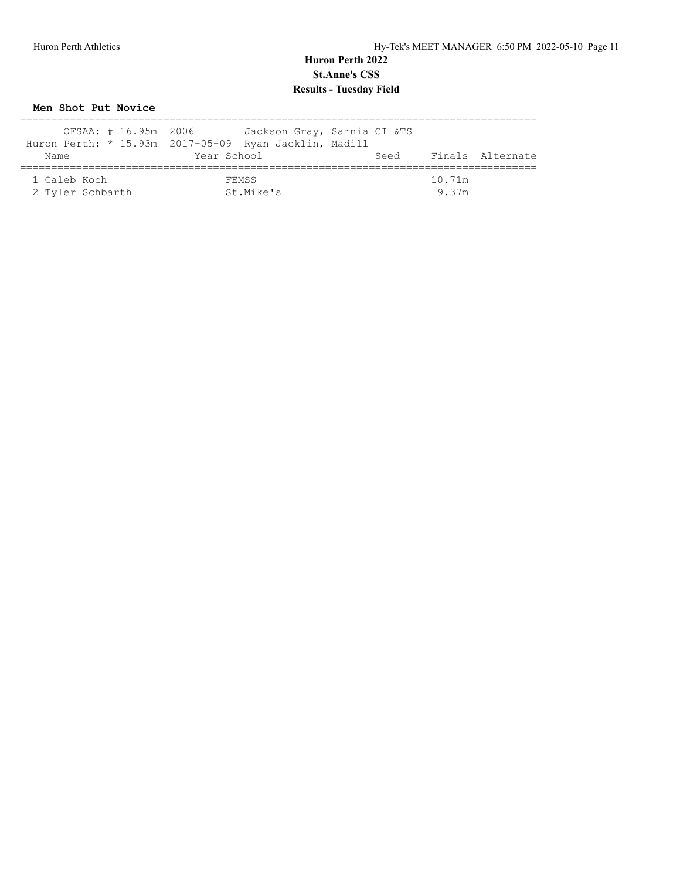## **Men Shot Put Novice**

| OFSAA: # 16.95m 2006 |                                                       | Jackson Gray, Sarnia CI &TS |
|----------------------|-------------------------------------------------------|-----------------------------|
|                      | Huron Perth: * 15.93m 2017-05-09 Ryan Jacklin, Madill |                             |
| Name                 | Year School                                           | Finals Alternate<br>Seed    |
|                      |                                                       |                             |
| 1 Caleb Koch         | FEMSS                                                 | 10.71m                      |
| 2 Tyler Schbarth     | St.Mike's                                             | 9 37m                       |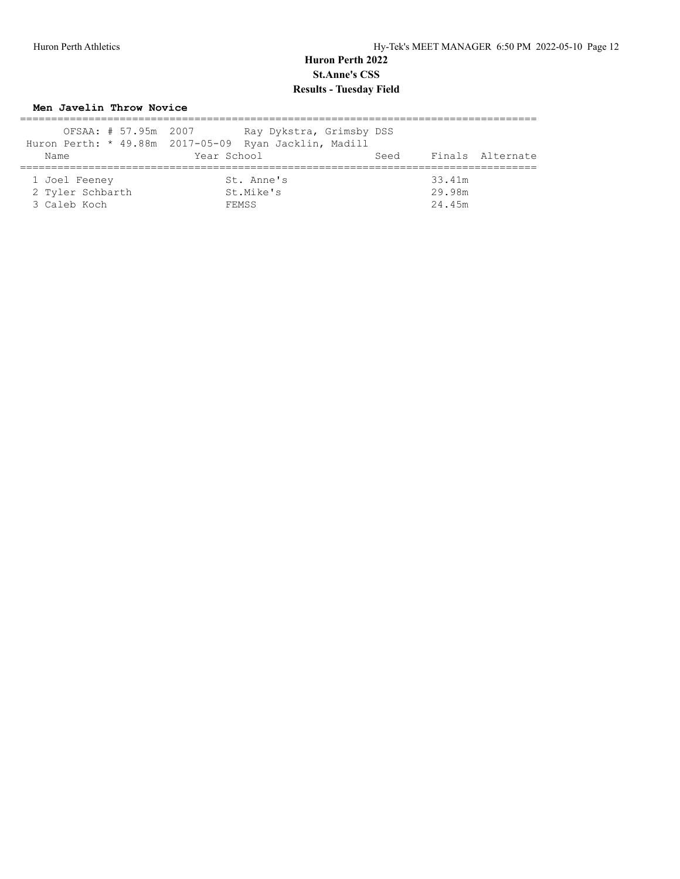#### **Men Javelin Throw Novice**

| OFSAA: # 57.95m 2007                              | Ray Dykstra, Grimsby DSS<br>Huron Perth: * 49.88m 2017-05-09 Ryan Jacklin, Madill |                            |
|---------------------------------------------------|-----------------------------------------------------------------------------------|----------------------------|
| Name                                              | Year School                                                                       | Finals Alternate<br>Seed   |
| 1 Joel Feeney<br>2 Tyler Schbarth<br>3 Caleb Koch | St. Anne's<br>St.Mike's<br>FEMSS                                                  | 33.41m<br>29.98m<br>24.45m |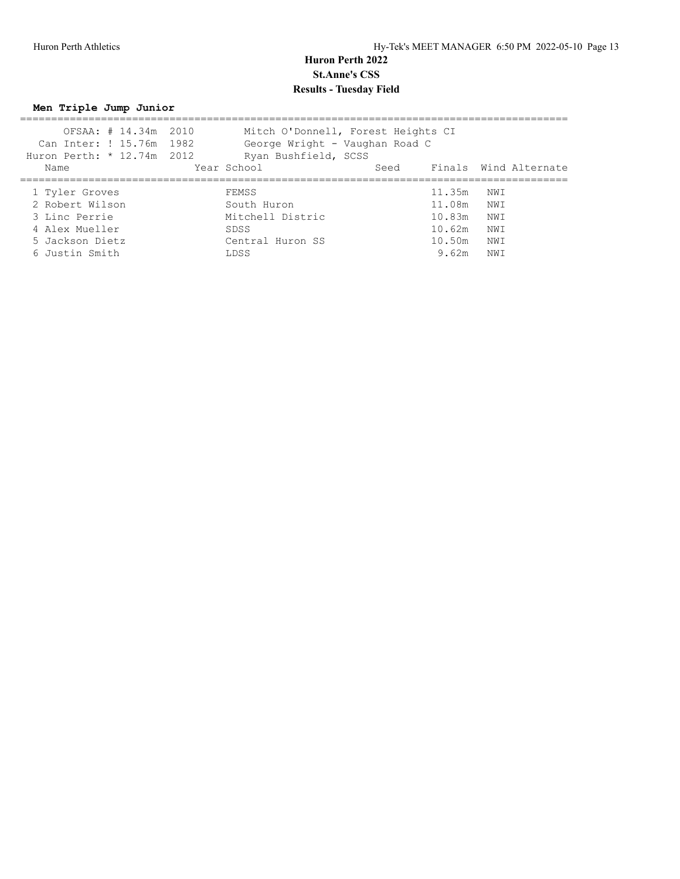**Men Triple Jump Junior**

| OFSAA: # 14.34m 2010<br>Can Inter: ! 15.76m 1982<br>Huron Perth: * 12.74m 2012 |                                              |                      |                                                                                                                            |
|--------------------------------------------------------------------------------|----------------------------------------------|----------------------|----------------------------------------------------------------------------------------------------------------------------|
| Year School                                                                    | Seed                                         |                      | Finals Wind Alternate                                                                                                      |
| FEMSS                                                                          |                                              |                      | NWI                                                                                                                        |
| South Huron                                                                    |                                              |                      |                                                                                                                            |
|                                                                                |                                              |                      | NWI                                                                                                                        |
|                                                                                |                                              |                      | NWI<br>NWI                                                                                                                 |
| LDSS                                                                           |                                              | 9.62m                | NW I                                                                                                                       |
|                                                                                | Mitchell Distric<br>SDSS<br>Central Huron SS | Ryan Bushfield, SCSS | Mitch O'Donnell, Forest Heights CI<br>George Wright - Vaughan Road C<br>11.35m<br>11.08m NWI<br>10.83m<br>10.62m<br>10.50m |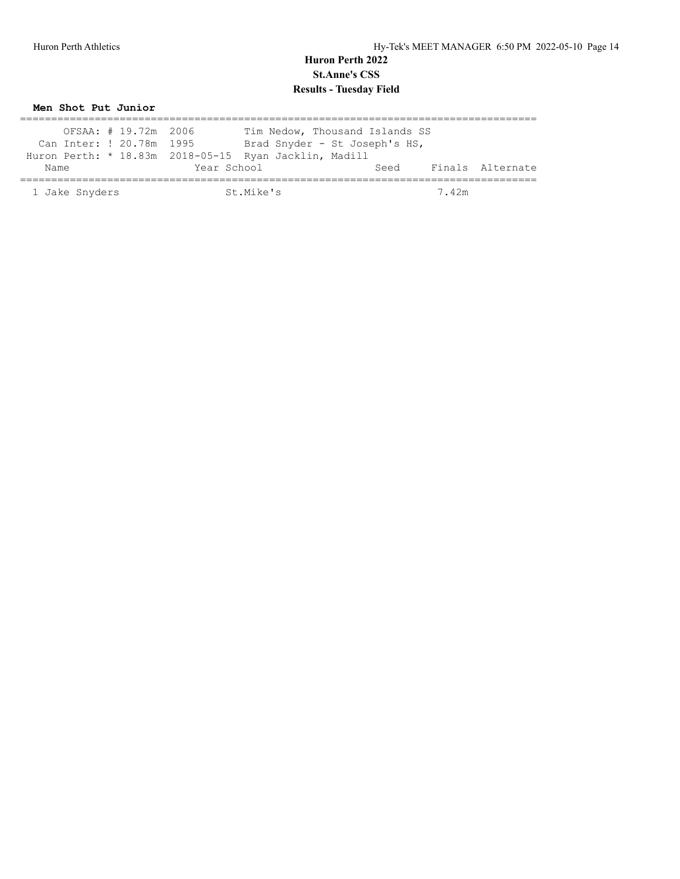**Men Shot Put Junior**

| OFSAA: # 19.72m 2006     | Tim Nedow, Thousand Islands SS                        |                          |
|--------------------------|-------------------------------------------------------|--------------------------|
|                          |                                                       |                          |
| Can Inter: ! 20.78m 1995 | Brad Snyder - St Joseph's HS,                         |                          |
|                          | Huron Perth: * 18.83m 2018-05-15 Ryan Jacklin, Madill |                          |
| Name                     | Year School                                           | Finals Alternate<br>Seed |
| 1 Jake Snyders           | St. Mike's                                            | 7.42m                    |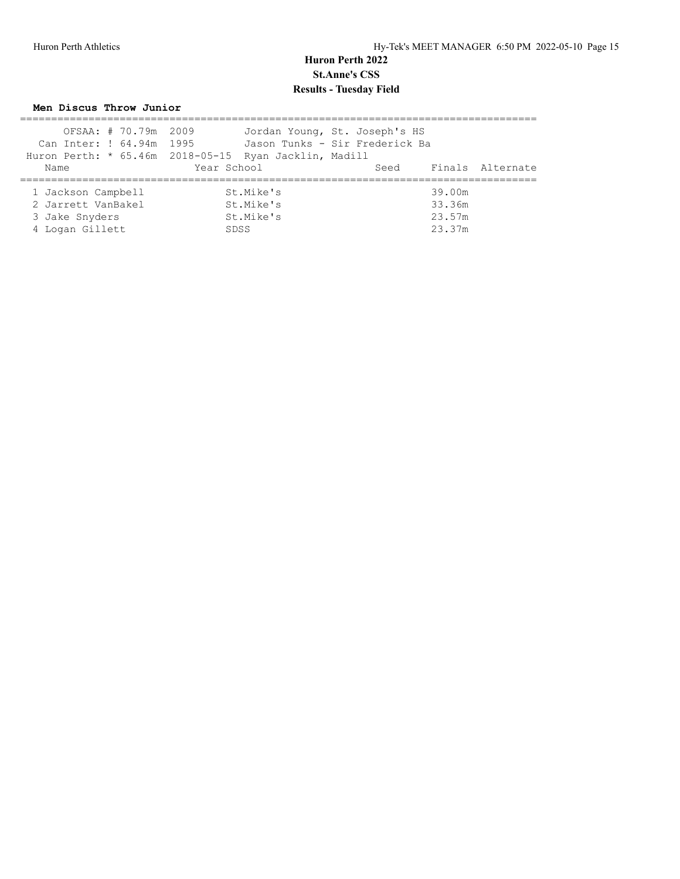#### **Men Discus Throw Junior**

| OFSAA: # 70.79m 2009     |                                                       | Jordan Young, St. Joseph's HS  |
|--------------------------|-------------------------------------------------------|--------------------------------|
| Can Inter: ! 64.94m 1995 |                                                       | Jason Tunks - Sir Frederick Ba |
|                          | Huron Perth: * 65.46m 2018-05-15 Ryan Jacklin, Madill |                                |
| Name                     | Year School                                           | Seed Finals Alternate          |
|                          |                                                       |                                |
| 1 Jackson Campbell       | St.Mike's                                             | 39.00m                         |
| 2 Jarrett VanBakel       | St.Mike's                                             | 33.36m                         |
| 3 Jake Snyders           | St.Mike's                                             | 23.57m                         |
| 4 Logan Gillett          | SDSS                                                  | 23.37m                         |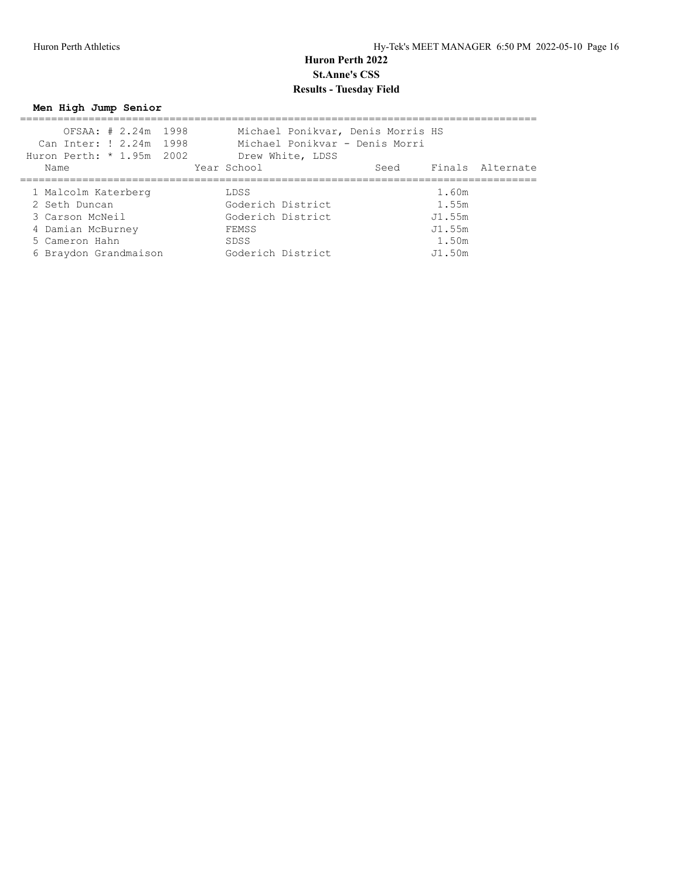**Men High Jump Senior**

| Can Inter: ! 2.24m 1998<br>Huron Perth: * 1.95m 2002 | OFSAA: # 2.24m 1998 |  |                   | Drew White, LDSS | Michael Ponikvar, Denis Morris HS<br>Michael Ponikvar - Denis Morri |        |                       |
|------------------------------------------------------|---------------------|--|-------------------|------------------|---------------------------------------------------------------------|--------|-----------------------|
| Name                                                 |                     |  | Year School       |                  |                                                                     |        | Seed Finals Alternate |
| 1 Malcolm Katerberg                                  |                     |  | LDSS              |                  |                                                                     | 1.60m  |                       |
| 2 Seth Duncan                                        |                     |  | Goderich District |                  |                                                                     | 1.55m  |                       |
| 3 Carson McNeil                                      |                     |  | Goderich District |                  |                                                                     | J1.55m |                       |
| 4 Damian McBurney                                    |                     |  | FEMSS             |                  |                                                                     | J1.55m |                       |
| 5 Cameron Hahn                                       |                     |  | SDSS              |                  |                                                                     | 1.50m  |                       |
| 6 Braydon Grandmaison                                |                     |  | Goderich District |                  |                                                                     | J1.50m |                       |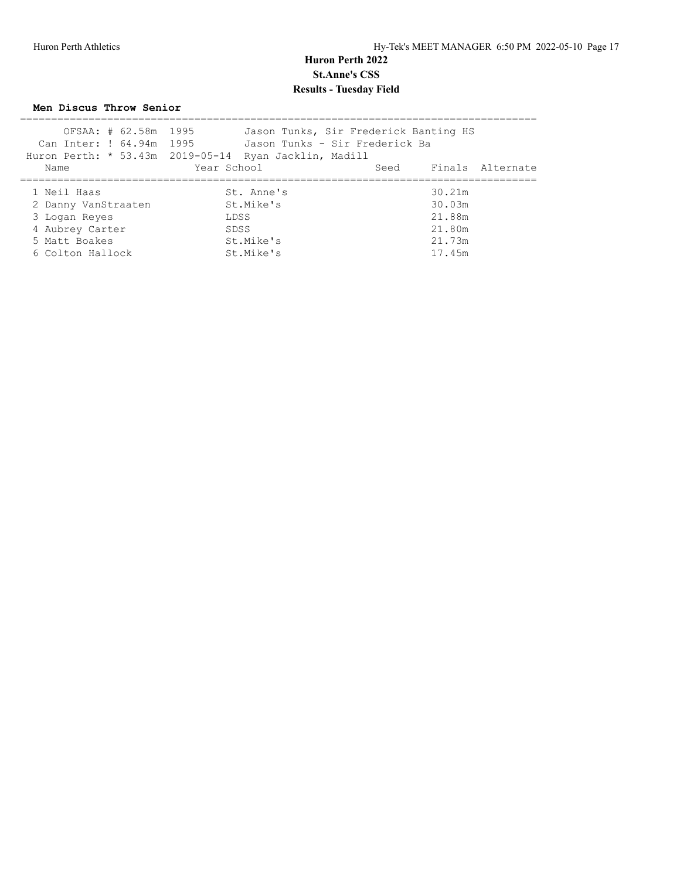**Men Discus Throw Senior**

| OFSAA: # 62.58m 1995     | Jason Tunks, Sir Frederick Banting HS                 |        |                       |
|--------------------------|-------------------------------------------------------|--------|-----------------------|
| Can Inter: ! 64.94m 1995 | Jason Tunks - Sir Frederick Ba                        |        |                       |
|                          | Huron Perth: * 53.43m 2019-05-14 Ryan Jacklin, Madill |        |                       |
| Name                     | Year School                                           |        | Seed Finals Alternate |
|                          |                                                       |        |                       |
| 1 Neil Haas              | St. Anne's                                            | 30.21m |                       |
| 2 Danny VanStraaten      | St.Mike's                                             | 30.03m |                       |
| 3 Logan Reyes            | LDSS                                                  | 21.88m |                       |
| 4 Aubrey Carter          | SDSS                                                  | 21.80m |                       |
| 5 Matt Boakes            | St.Mike's                                             | 21.73m |                       |
| 6 Colton Hallock         | St.Mike's                                             | 17.45m |                       |